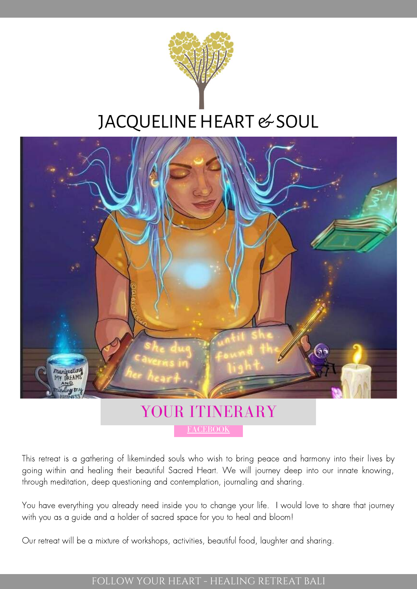

# JACQUELINE HEART & SOUL



## [FACEBOOK](https://www.facebook.com/jacquelineheartandsoul/) YOUR ITINERARY

This retreat is a gathering of likeminded souls who wish to bring peace and harmony into their lives by going within and healing their beautiful Sacred Heart. We will journey deep into our innate knowing, through meditation, deep questioning and contemplation, journaling and sharing.

You have everything you already need inside you to change your life. I would love to share that journey with you as a guide and a holder of sacred space for you to heal and bloom!

Our retreat will be a mixture of workshops, activities, beautiful food, laughter and sharing.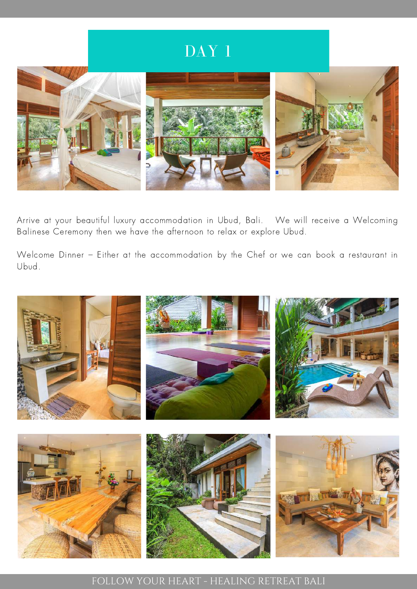# DAY 1



Arrive at your beautiful luxury accommodation in Ubud, Bali. We will receive a Welcoming Balinese Ceremony then we have the afternoon to relax or explore Ubud.

Welcome Dinner – Either at the accommodation by the Chef or we can book a restaurant in Ubud.

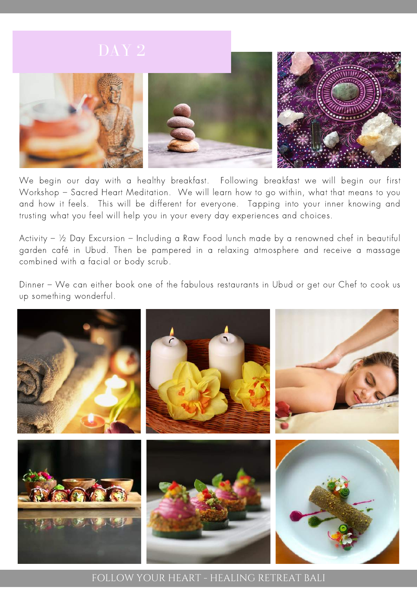

We begin our day with a healthy breakfast. Following breakfast we will begin our first Workshop – Sacred Heart Meditation. We will learn how to go within, what that means to you and how it feels. This will be different for everyone. Tapping into your inner knowing and trusting what you feel will help you in your every day experiences and choices.

Activity – ½ Day Excursion – Including a Raw Food lunch made by a renowned chef in beautiful garden café in Ubud. Then be pampered in a relaxing atmosphere and receive a massage combined with a facial or body scrub.

Dinner – We can either book one of the fabulous restaurants in Ubud or get our Chef to cook us up something wonderful.

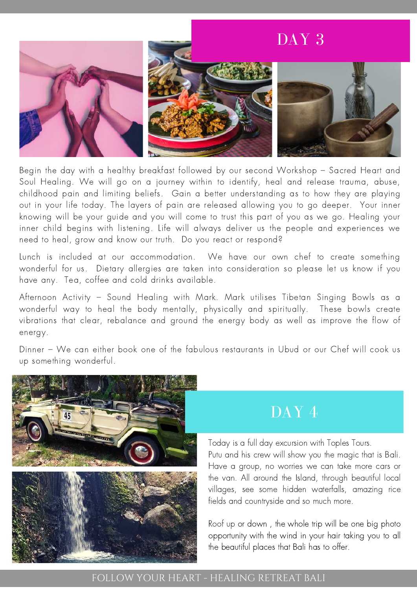

Begin the day with a healthy breakfast followed by our second Workshop – Sacred Heart and Soul Healing. We will go on a journey within to identify, heal and release trauma, abuse, childhood pain and limiting beliefs. Gain a better understanding as to how they are playing out in your life today. The layers of pain are released allowing you to go deeper. Your inner knowing will be your guide and you will come to trust this part of you as we go. Healing your inner child begins with listening. Life will always deliver us the people and experiences we need to heal, grow and know our truth. Do you react or respond?

Lunch is included at our accommodation. We have our own chef to create something wonderful for us. Dietary allergies are taken into consideration so please let us know if you have any. Tea, coffee and cold drinks available.

Ariernoon Activity – sound Healing with Iviark. Iviark utilises Tiberan Singing bowls as a<br>wonderful way to heal the body mentally, physically and spiritually. These bowls create Afternoon Activity – Sound Healing with Mark. Mark utilises Tibetan Singing Bowls as a vibrations that clear, rebalance and ground the energy body as well as improve the flow of energy.

Dinner – We can either book one of the fabulous restaurants in Ubud or our Chef will cook us up something wonderful.



## DAY 4

Today is a full day excursion with Toples Tours. Putu and his crew will show you the magic that is Bali. Have a group, no worries we can take more cars or the van. All around the Island, through beautiful local villages, see some hidden waterfalls, amazing rice fields and countryside and so much more.

Roof up or down , the whole trip will be one big photo opportunity with the wind in your hair taking you to all the beautiful places that Bali has to offer.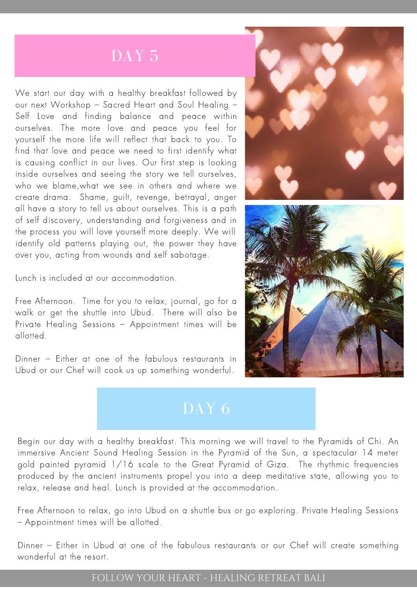# DAY<sub>5</sub>

We start our day with a healthy breakfast followed by our next Workshop – Sacred Heart and Soul Healing – Self Love and finding balance and peace within ourselves. The more love and peace you feel for yourself the more life will reflect that back to you. To find that love and peace we need to first identify what is causing conflict in our lives. Our first step is looking inside ourselves and seeing the story we tell ourselves, who we blame,what we see in others and where we create drama. Shame, guilt, revenge, betrayal, anger all have a story to tell us about ourselves. This is a path of self discovery, understanding and forgiveness and in the process you will love yourself more deeply. We will identify old patterns playing out, the power they have over you, acting from wounds and self sabotage.

Lunch is included at our accommodation.

Free Afternoon. Time for you to relax, journal, go for a walk or get the shuttle into Ubud. There will also be Private Healing Sessions – Appointment times will be allotted.

Dinner – Either at one of the fabulous restaurants in Ubud or our Chef will cook us up something wonderful.





Begin our day with a healthy breakfast. This morning we will travel to the Pyramids of Chi. An immersive Ancient Sound Healing Session in the Pyramid of the Sun, a spectacular 14 meter gold painted pyramid 1/16 scale to the Great Pyramid of Giza. The rhythmic frequencies produced by the ancient instruments propel you into a deep meditative state, allowing you to relax, release and heal. Lunch is provided at the accommodation.

Free Afternoon to relax, go into Ubud on a shuttle bus or go exploring. Private Healing Sessions – Appointment times will be allotted.

Dinner – Either in Ubud at one of the fabulous restaurants or our Chef will create something wonderful at the resort.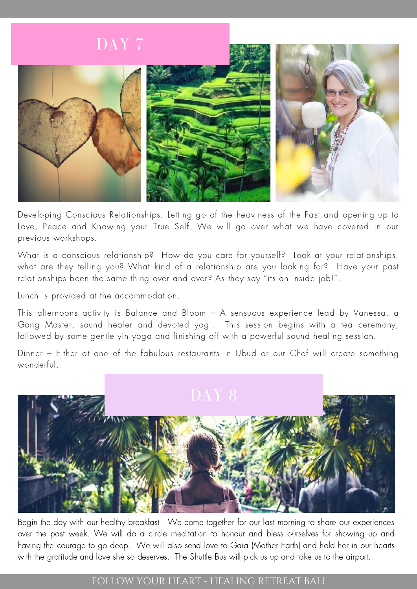

Developing Conscious Relationships. Letting go of the heaviness of the Past and opening up to Love, Peace and Knowing your True Self. We will go over what we have covered in our previous workshops.

What is a conscious relationship? How do you care for yourself? Look at your relationships, what are they telling you? What kind of a relationship are you looking for? Have your past relationships been the same thing over and over? As they say "its an inside job!".

Lunch is provided at the accommodation.

This afternoons activity is Balance and Bloom – A sensuous experience lead by Vanessa, a Gong Master, sound healer and devoted yogi. This session begins with a tea ceremony, followed by some gentle yin yoga and finishing off with a powerful sound healing session.

Dinner – Either at one of the fabulous restaurants in Ubud or our Chef will create something wonderful.



Begin the day with our healthy breakfast. We come together for our last morning to share our experiences over the past week. We will do a circle meditation to honour and bless ourselves for showing up and having the courage to go deep. We will also send love to Gaia (Mother Earth) and hold her in our hearts with the gratitude and love she so deserves. The Shuttle Bus will pick us up and take us to the airport.